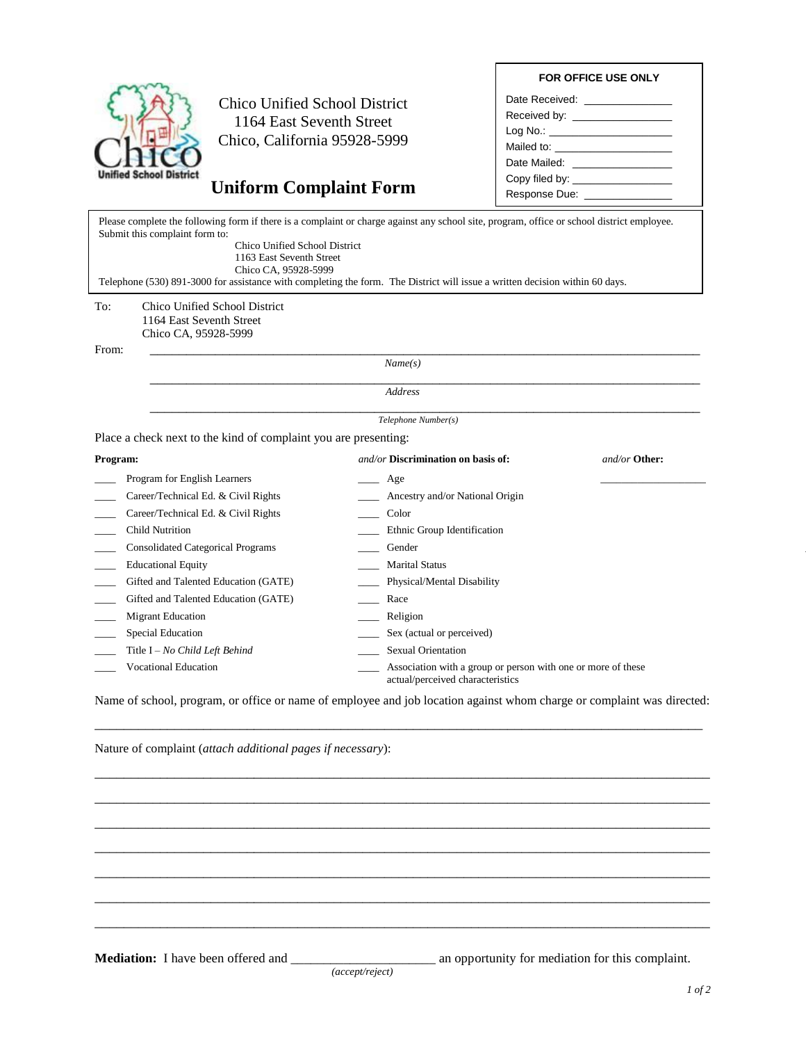## **FOR OFFICE USE ONLY**



Chico Unified School District 1164 East Seventh Street Chico, California 95928-5999

## **Uniform Complaint Form**

| Date Received: <u>___________</u>                                                                               |  |
|-----------------------------------------------------------------------------------------------------------------|--|
|                                                                                                                 |  |
| Log No.: _____________________                                                                                  |  |
|                                                                                                                 |  |
| Date Mailed: <b>National Community</b> Date Mailed:                                                             |  |
| Copy filed by:                                                                                                  |  |
| Response Due: Noted that the set of the set of the set of the set of the set of the set of the set of the set o |  |

To: Chico Unified School District  $\mathcal{L}_\text{max}$  and  $\mathcal{L}_\text{max}$  are the set of the set of the set of the set of the set of the set of the set of the set of the set of the set of the set of the set of the set of the set of the set of the set of the set o Please complete the following form if there is a complaint or charge against any school site, program, office or school district employee. Submit this complaint form to: Chico Unified School District 1163 East Seventh Street Chico CA, 95928-5999 Telephone (530) 891-3000 for assistance with completing the form. The District will issue a written decision within 60 days.

## 1164 East Seventh Street Chico CA, 95928-5999

From: \_\_\_\_\_\_\_\_\_\_\_\_\_\_\_\_\_\_\_\_\_\_\_\_\_\_\_\_\_\_\_\_\_\_\_\_\_\_\_\_\_\_\_\_\_\_\_\_\_\_\_\_\_\_\_\_\_\_\_\_\_\_\_\_\_\_\_\_\_\_\_\_\_\_\_\_

*Name(s)*

 *Telephone Number(s)*

\_\_\_\_\_\_\_\_\_\_\_\_\_\_\_\_\_\_\_\_\_\_\_\_\_\_\_\_\_\_\_\_\_\_\_\_\_\_\_\_\_\_\_\_\_\_\_\_\_\_\_\_\_\_\_\_\_\_\_\_\_\_\_\_\_\_\_\_\_\_\_\_\_\_\_\_

Place a check next to the kind of complaint you are presenting:

| Program:                                 | $and/or$ Discrimination on basis of:                                                             | and/or Other: |
|------------------------------------------|--------------------------------------------------------------------------------------------------|---------------|
| Program for English Learners             | Age                                                                                              |               |
| Career/Technical Ed. & Civil Rights      | Ancestry and/or National Origin                                                                  |               |
| Career/Technical Ed. & Civil Rights      | Color                                                                                            |               |
| Child Nutrition                          | Ethnic Group Identification                                                                      |               |
| <b>Consolidated Categorical Programs</b> | Gender                                                                                           |               |
| <b>Educational Equity</b>                | <b>Marital Status</b>                                                                            |               |
| Gifted and Talented Education (GATE)     | Physical/Mental Disability                                                                       |               |
| Gifted and Talented Education (GATE)     | Race                                                                                             |               |
| <b>Migrant Education</b>                 | Religion                                                                                         |               |
| Special Education                        | Sex (actual or perceived)                                                                        |               |
| Title $I - No$ Child Left Behind         | <b>Sexual Orientation</b>                                                                        |               |
| <b>Vocational Education</b>              | Association with a group or person with one or more of these<br>actual/perceived characteristics |               |

Name of school, program, or office or name of employee and job location against whom charge or complaint was directed: \_\_\_\_\_\_\_\_\_\_\_\_\_\_\_\_\_\_\_\_\_\_\_\_\_\_\_\_\_\_\_\_\_\_\_\_\_\_\_\_\_\_\_\_\_\_\_\_\_\_\_\_\_\_\_\_\_\_\_\_\_\_\_\_\_\_\_\_\_\_\_\_\_\_\_\_\_\_\_\_\_\_\_\_

\_\_\_\_\_\_\_\_\_\_\_\_\_\_\_\_\_\_\_\_\_\_\_\_\_\_\_\_\_\_\_\_\_\_\_\_\_\_\_\_\_\_\_\_\_\_\_\_\_\_\_\_\_\_\_\_\_\_\_\_\_\_\_\_\_\_\_\_\_\_\_\_\_\_\_\_\_\_\_\_\_\_\_\_\_ \_\_\_\_\_\_\_\_\_\_\_\_\_\_\_\_\_\_\_\_\_\_\_\_\_\_\_\_\_\_\_\_\_\_\_\_\_\_\_\_\_\_\_\_\_\_\_\_\_\_\_\_\_\_\_\_\_\_\_\_\_\_\_\_\_\_\_\_\_\_\_\_\_\_\_\_\_\_\_\_\_\_\_\_\_ \_\_\_\_\_\_\_\_\_\_\_\_\_\_\_\_\_\_\_\_\_\_\_\_\_\_\_\_\_\_\_\_\_\_\_\_\_\_\_\_\_\_\_\_\_\_\_\_\_\_\_\_\_\_\_\_\_\_\_\_\_\_\_\_\_\_\_\_\_\_\_\_\_\_\_\_\_\_\_\_\_\_\_\_\_ \_\_\_\_\_\_\_\_\_\_\_\_\_\_\_\_\_\_\_\_\_\_\_\_\_\_\_\_\_\_\_\_\_\_\_\_\_\_\_\_\_\_\_\_\_\_\_\_\_\_\_\_\_\_\_\_\_\_\_\_\_\_\_\_\_\_\_\_\_\_\_\_\_\_\_\_\_\_\_\_\_\_\_\_\_ \_\_\_\_\_\_\_\_\_\_\_\_\_\_\_\_\_\_\_\_\_\_\_\_\_\_\_\_\_\_\_\_\_\_\_\_\_\_\_\_\_\_\_\_\_\_\_\_\_\_\_\_\_\_\_\_\_\_\_\_\_\_\_\_\_\_\_\_\_\_\_\_\_\_\_\_\_\_\_\_\_\_\_\_\_ \_\_\_\_\_\_\_\_\_\_\_\_\_\_\_\_\_\_\_\_\_\_\_\_\_\_\_\_\_\_\_\_\_\_\_\_\_\_\_\_\_\_\_\_\_\_\_\_\_\_\_\_\_\_\_\_\_\_\_\_\_\_\_\_\_\_\_\_\_\_\_\_\_\_\_\_\_\_\_\_\_\_\_\_\_ \_\_\_\_\_\_\_\_\_\_\_\_\_\_\_\_\_\_\_\_\_\_\_\_\_\_\_\_\_\_\_\_\_\_\_\_\_\_\_\_\_\_\_\_\_\_\_\_\_\_\_\_\_\_\_\_\_\_\_\_\_\_\_\_\_\_\_\_\_\_\_\_\_\_\_\_\_\_\_\_\_\_\_\_\_

Nature of complaint (*attach additional pages if necessary*):

*(accept/reject)*

**Mediation:** I have been offered and \_\_\_\_\_\_\_\_\_\_\_\_\_\_\_\_\_\_\_\_\_\_\_\_ an opportunity for mediation for this complaint.